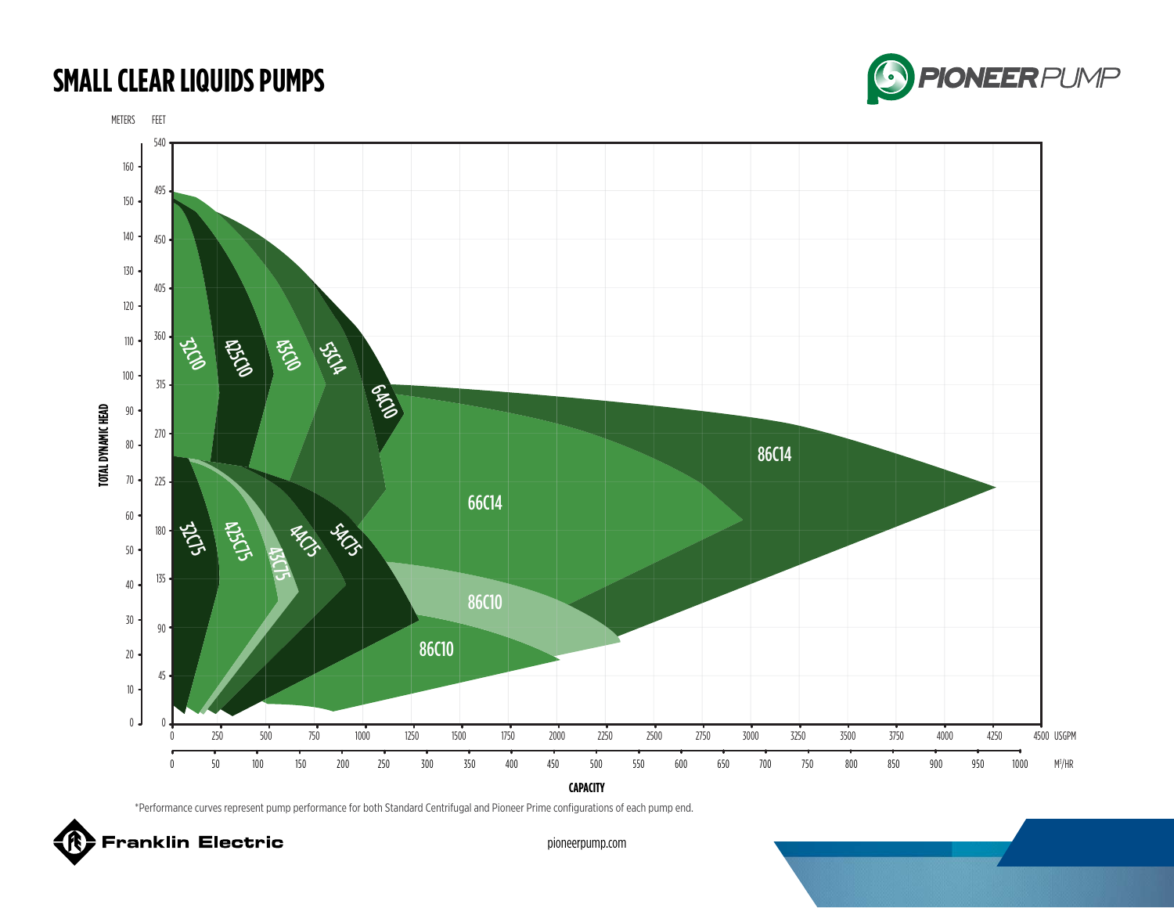### **SMALL CLEAR LIQUIDS PUMPS**





\*Performance curves represent pump performance for both Standard Centrifugal and Pioneer Prime configurations of each pump end.

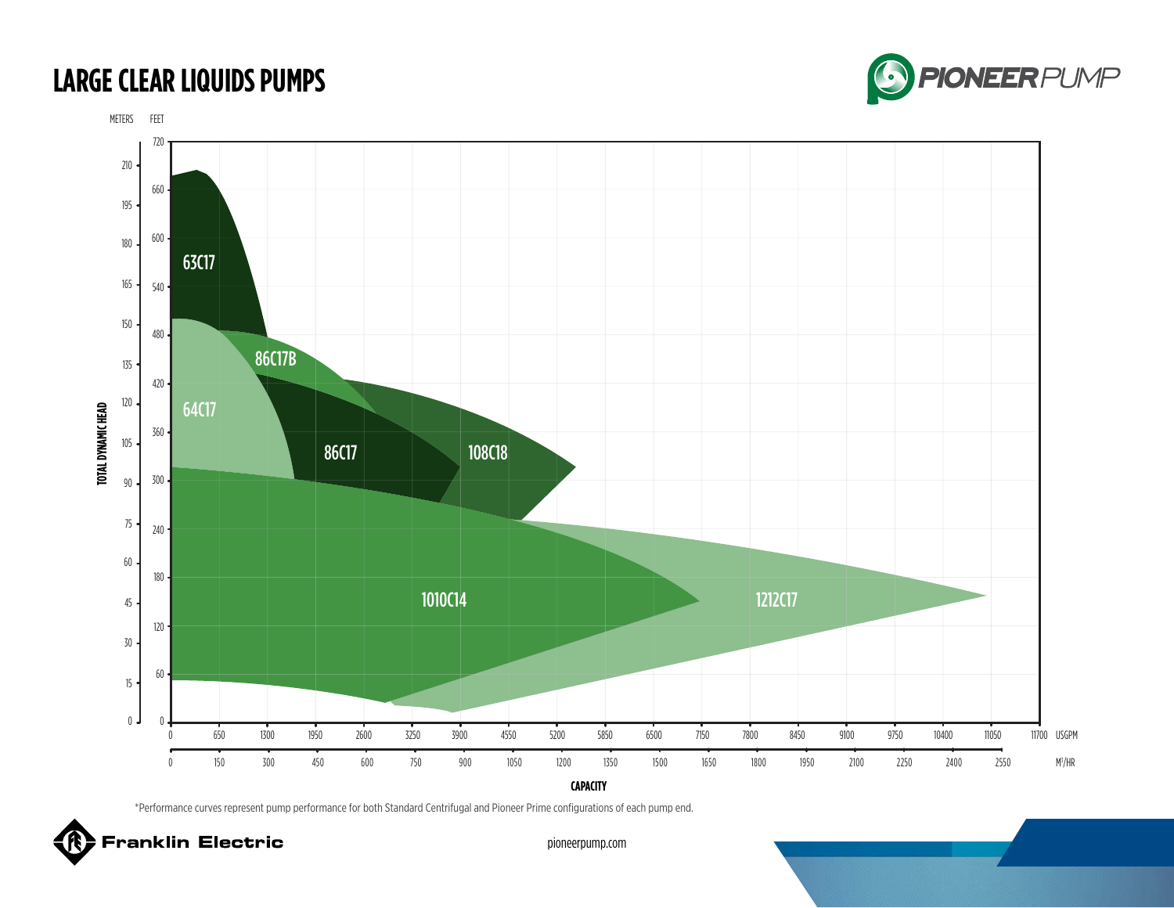## **LARGE CLEAR LIQUIDS PUMPS**





\*Performance curves represent pump performance for both Standard Centrifugal and Pioneer Prime configurations of each pump end.

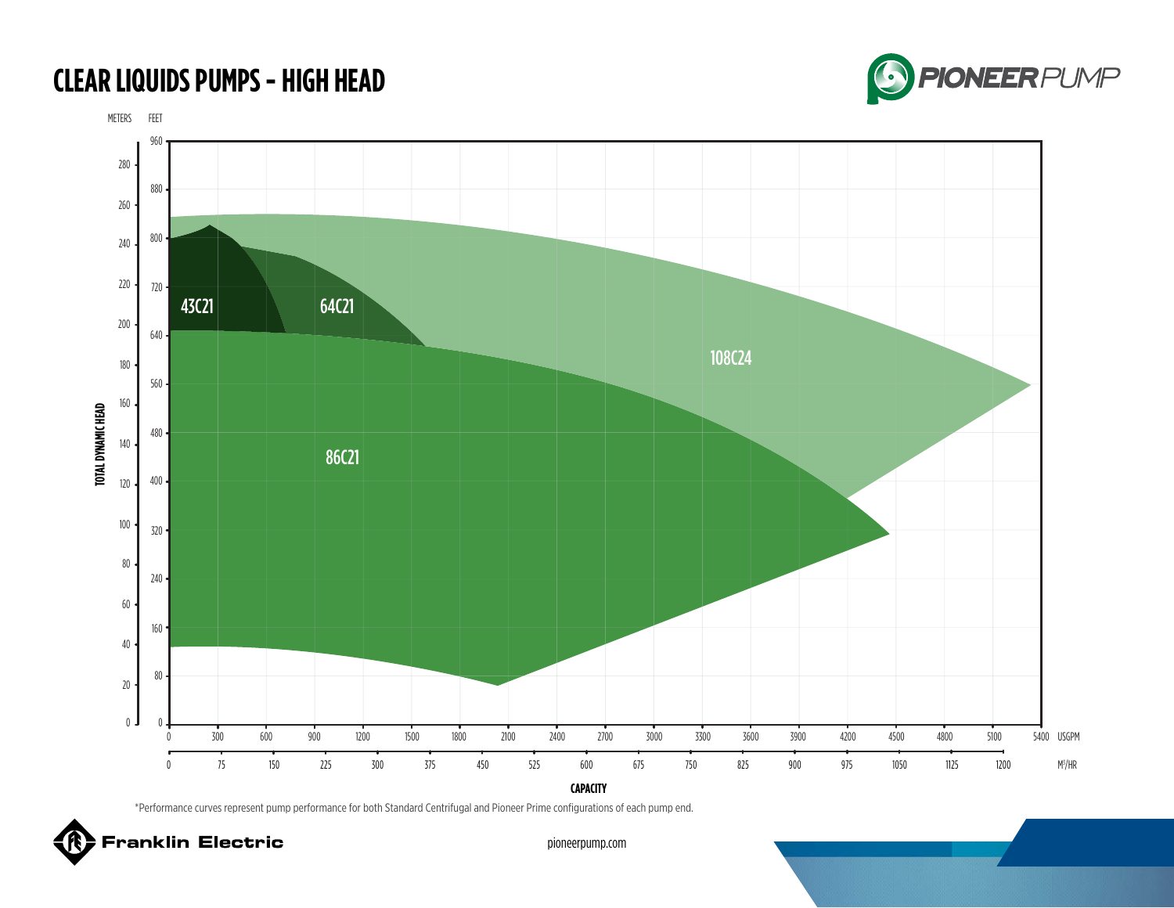## **CLEAR LIQUIDS PUMPS - HIGH HEAD**



METERS FEET



\*Performance curves represent pump performance for both Standard Centrifugal and Pioneer Prime configurations of each pump end.

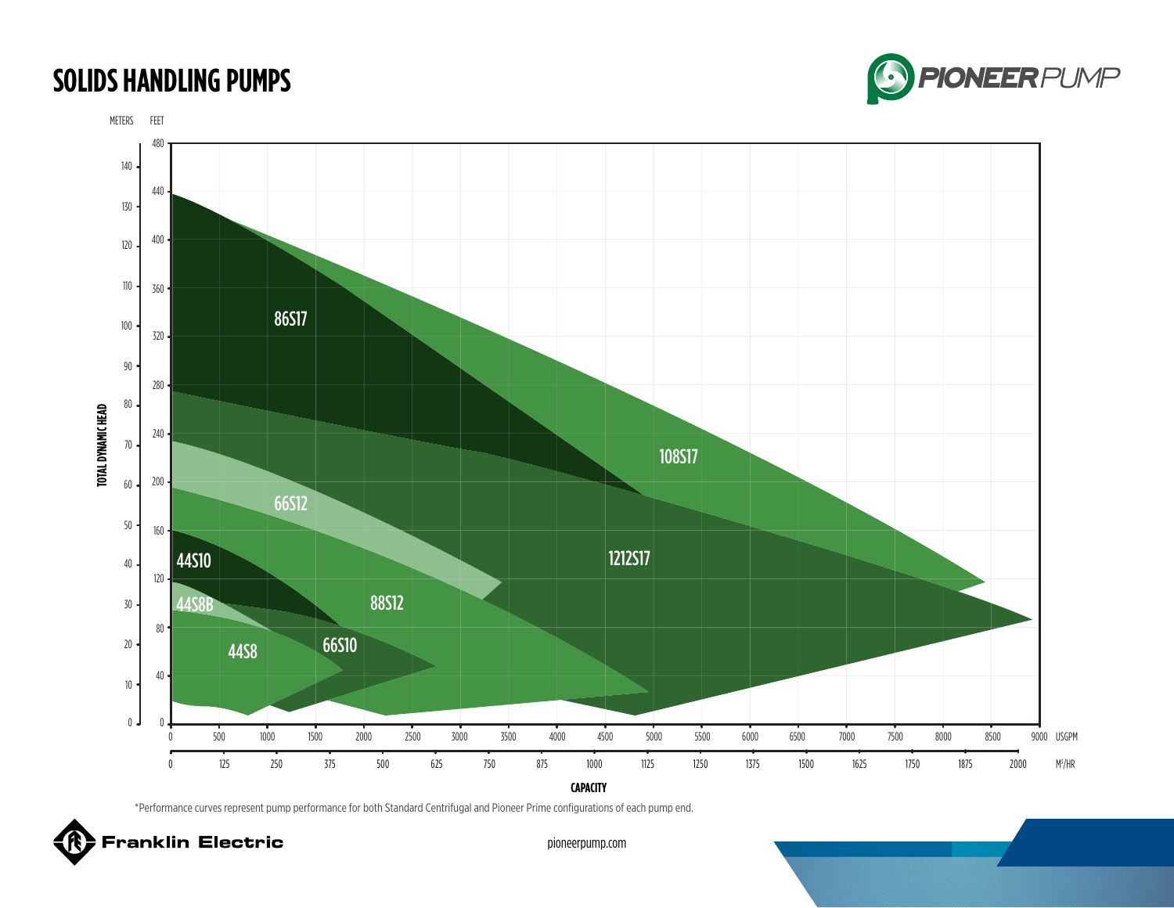### **SOLIDS HANDLING PUMPS**





\*Performance curves represent pump performance for both Standard Centrifugal and Pioneer Prime configurations of each pump end.

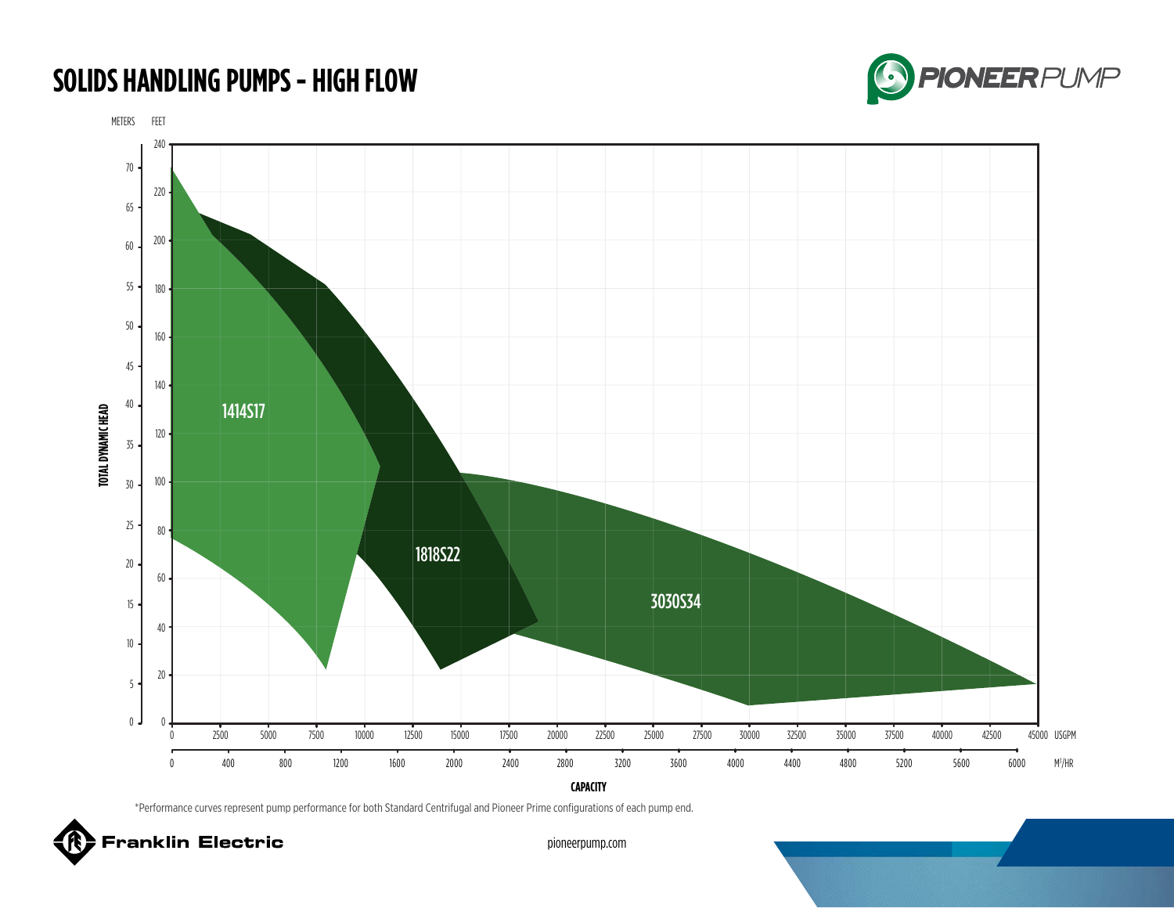# **SOLIDS HANDLING PUMPS - HIGH FLOW**



METERS FEET



\*Performance curves represent pump performance for both Standard Centrifugal and Pioneer Prime configurations of each pump end.

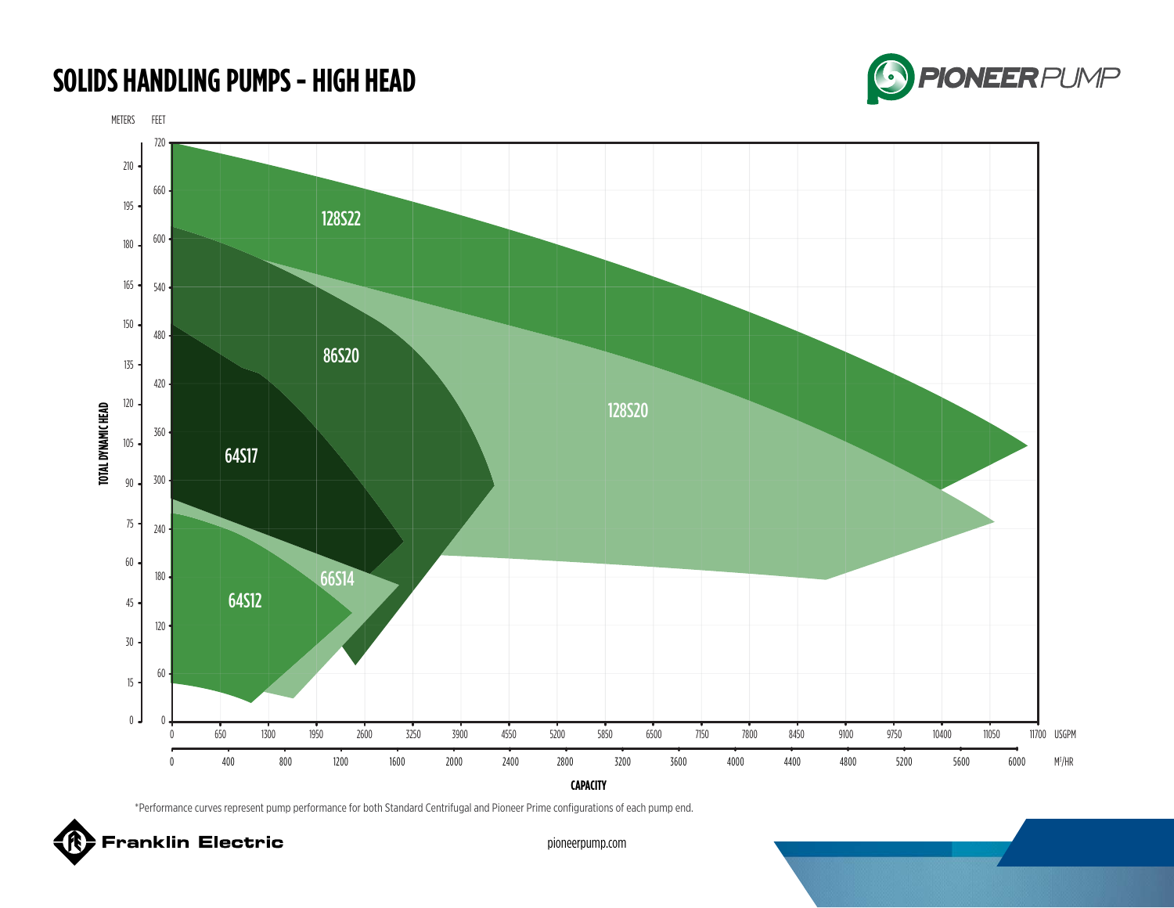## **SOLIDS HANDLING PUMPS - HIGH HEAD**



METERS FEET



\*Performance curves represent pump performance for both Standard Centrifugal and Pioneer Prime configurations of each pump end.

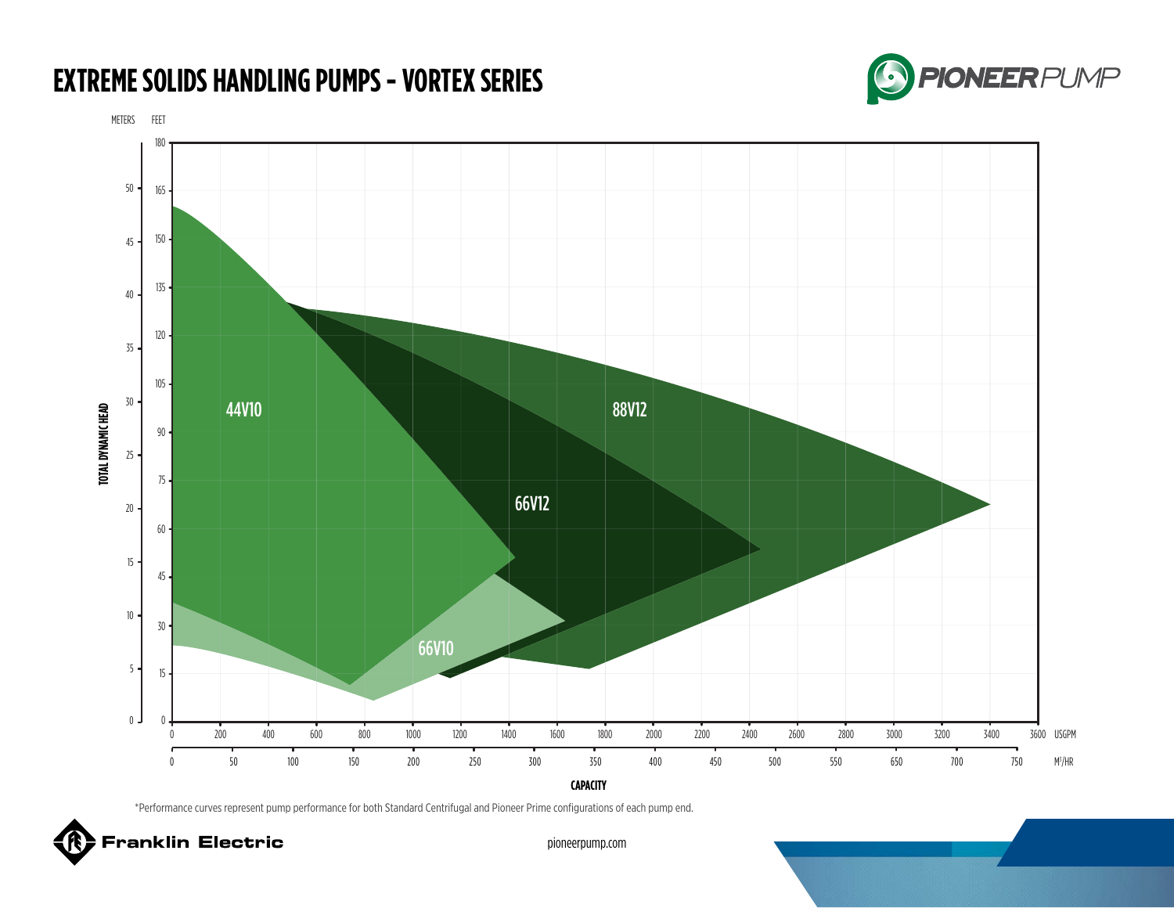## **EXTREME SOLIDS HANDLING PUMPS - VORTEX SERIES**



METERS FEET 180 50 165  $150 \cdot$ 45  $135 -$ 40 120 35  $105 -$ 30 TOTAL DYNAMIC HEAD 44V10 88V12 **TOTAL DYNAMIC HEAD** 90 25 75 66V12 20 60 15 45 10 30 66V10 5 15  $0$  **J**  $0$ 3600 USGPM  $\theta$ 200 400 600 800 1000 1200 1400 1600 1800 2000 2200 2400 2600 2800 3000 3200 3400 3600 M3 /HR 0 50 100 150 200 250 300 350 400 450 500 550 650 700 750

**CAPACITY**

\*Performance curves represent pump performance for both Standard Centrifugal and Pioneer Prime configurations of each pump end.